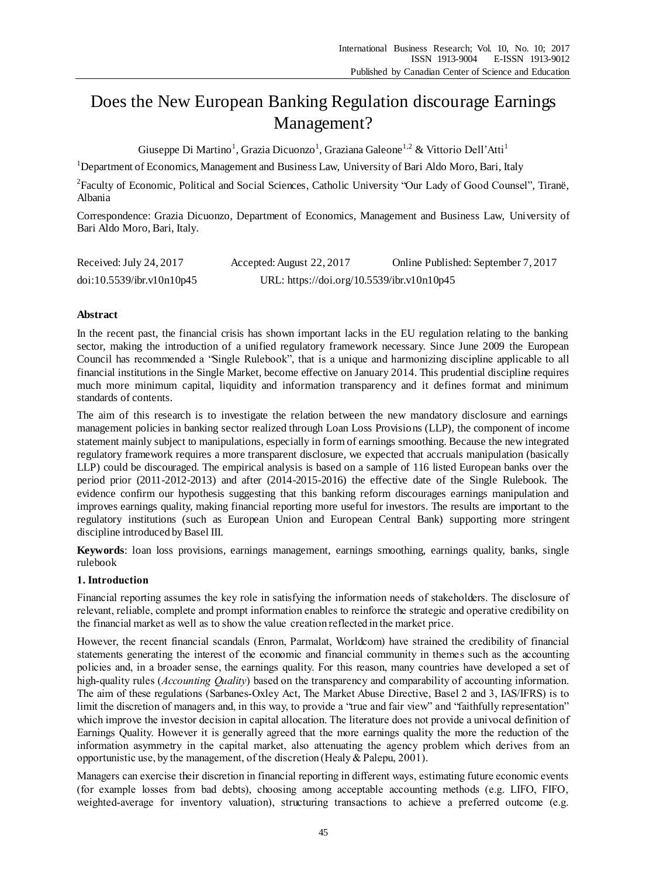# Does the New European Banking Regulation discourage Earnings Management?

Giuseppe Di Martino<sup>1</sup>, Grazia Dicuonzo<sup>1</sup>, Graziana Galeone<sup>1,2</sup> & Vittorio Dell'Atti<sup>1</sup>

<sup>1</sup>Department of Economics, Management and Business Law, University of Bari Aldo Moro, Bari, Italy

<sup>2</sup> Faculty of Economic, Political and Social Sciences, Catholic University "Our Lady of Good Counsel", Tiran ë, Albania

Correspondence: Grazia Dicuonzo, Department of Economics, Management and Business Law, University of Bari Aldo Moro, Bari, Italy.

| Received: July 24, 2017   | Accepted: August 22, 2017                  | Online Published: September 7, 2017 |
|---------------------------|--------------------------------------------|-------------------------------------|
| doi:10.5539/ibr.v10n10p45 | URL: https://doi.org/10.5539/ibr.v10n10p45 |                                     |

# **Abstract**

In the recent past, the financial crisis has shown important lacks in the EU regulation relating to the banking sector, making the introduction of a unified regulatory framework necessary. Since June 2009 the European Council has recommended a "Single Rulebook", that is a unique and harmonizing discipline applicable to all financial institutions in the Single Market, become effective on January 2014. This prudential discipline requires much more minimum capital, liquidity and information transparency and it defines format and minimum standards of contents.

The aim of this research is to investigate the relation between the new mandatory disclosure and earnings management policies in banking sector realized through Loan Loss Provisions (LLP), the component of income statement mainly subject to manipulations, especially in form of earnings smoothing. Because the new integrated regulatory framework requires a more transparent disclosure, we expected that accruals manipulation (basically LLP) could be discouraged. The empirical analysis is based on a sample of 116 listed European banks over the period prior (2011-2012-2013) and after (2014-2015-2016) the effective date of the Single Rulebook. The evidence confirm our hypothesis suggesting that this banking reform discourages earnings manipulation and improves earnings quality, making financial reporting more useful for investors. The results are important to the regulatory institutions (such as European Union and European Central Bank) supporting more stringent discipline introduced by Basel III.

**Keywords**: loan loss provisions, earnings management, earnings smoothing, earnings quality, banks, single rulebook

# **1. Introduction**

Financial reporting assumes the key role in satisfying the information needs of stakeholders. The disclosure of relevant, reliable, complete and prompt information enables to reinforce the strategic and operative credibility on the financial market as well as to show the value creation reflected in the market price.

However, the recent financial scandals (Enron, Parmalat, Worldcom) have strained the credibility of financial statements generating the interest of the economic and financial community in themes such as the accounting policies and, in a broader sense, the earnings quality. For this reason, many countries have developed a set of high-quality rules (*Accounting Quality*) based on the transparency and comparability of accounting information. The aim of these regulations (Sarbanes-Oxley Act, The Market Abuse Directive, Basel 2 and 3, IAS/IFRS) is to limit the discretion of managers and, in this way, to provide a "true and fair view" and "faithfully representation" which improve the investor decision in capital allocation. The literature does not provide a univocal definition of Earnings Quality. However it is generally agreed that the more earnings quality the more the reduction of the information asymmetry in the capital market, also attenuating the agency problem which derives from an opportunistic use, by the management, of the discretion (Healy & Palepu, 2001).

Managers can exercise their discretion in financial reporting in different ways, estimating future economic events (for example losses from bad debts), choosing among acceptable accounting methods (e.g. LIFO, FIFO, weighted-average for inventory valuation), structuring transactions to achieve a preferred outcome (e.g.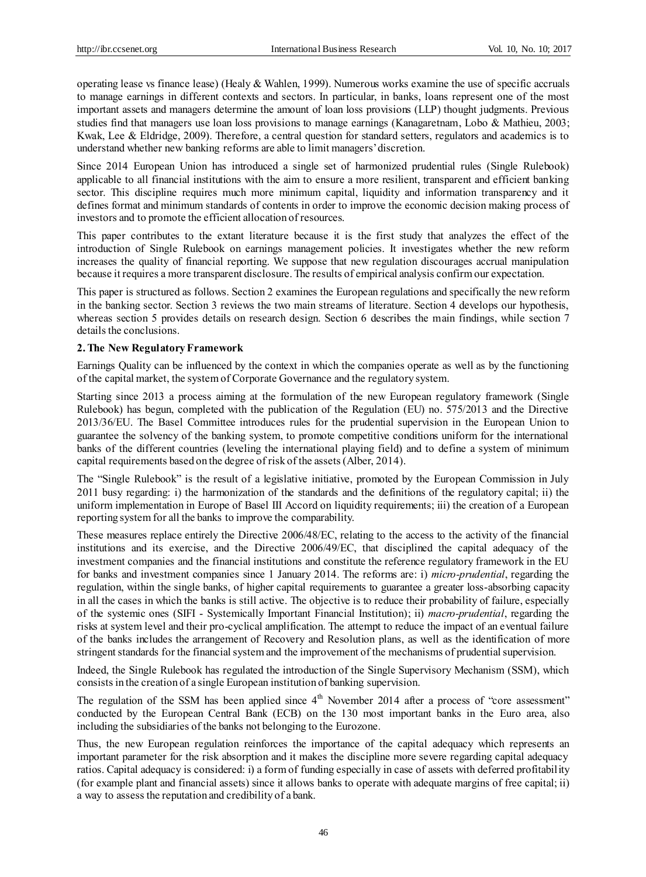operating lease vs finance lease) (Healy & Wahlen, 1999). Numerous works examine the use of specific accruals to manage earnings in different contexts and sectors. In particular, in banks, loans represent one of the most important assets and managers determine the amount of loan loss provisions (LLP) thought judgments. Previous studies find that managers use loan loss provisions to manage earnings (Kanagaretnam, Lobo & Mathieu, 2003; Kwak, Lee & Eldridge, 2009). Therefore, a central question for standard setters, regulators and academics is to understand whether new banking reforms are able to limit managers' discretion.

Since 2014 European Union has introduced a single set of harmonized prudential rules (Single Rulebook) applicable to all financial institutions with the aim to ensure a more resilient, transparent and efficient banking sector. This discipline requires much more minimum capital, liquidity and information transparency and it defines format and minimum standards of contents in order to improve the economic decision making process of investors and to promote the efficient allocation of resources.

This paper contributes to the extant literature because it is the first study that analyzes the effect of the introduction of Single Rulebook on earnings management policies. It investigates whether the new reform increases the quality of financial reporting. We suppose that new regulation discourages accrual manipulation because it requires a more transparent disclosure. The results of empirical analysis confirm our expectation.

This paper is structured as follows. Section 2 examines the European regulations and specifically the new reform in the banking sector. Section 3 reviews the two main streams of literature. Section 4 develops our hypothesis, whereas section 5 provides details on research design. Section 6 describes the main findings, while section 7 details the conclusions.

### **2. The New Regulatory Framework**

Earnings Quality can be influenced by the context in which the companies operate as well as by the functioning of the capital market, the system of Corporate Governance and the regulatory system.

Starting since 2013 a process aiming at the formulation of the new European regulatory framework (Single Rulebook) has begun, completed with the publication of the Regulation (EU) no. 575/2013 and the Directive 2013/36/EU. The Basel Committee introduces rules for the prudential supervision in the European Union to guarantee the solvency of the banking system, to promote competitive conditions uniform for the international banks of the different countries (leveling the international playing field) and to define a system of minimum capital requirements based on the degree of risk of the assets (Alber, 2014).

The "Single Rulebook" is the result of a legislative initiative, promoted by the European Commission in July 2011 busy regarding: i) the harmonization of the standards and the definitions of the regulatory capital; ii) the uniform implementation in Europe of Basel III Accord on liquidity requirements; iii) the creation of a European reporting system for all the banks to improve the comparability.

These measures replace entirely the Directive 2006/48/EC, relating to the access to the activity of the financial institutions and its exercise, and the Directive 2006/49/EC, that disciplined the capital adequacy of the investment companies and the financial institutions and constitute the reference regulatory framework in the EU for banks and investment companies since 1 January 2014. The reforms are: i) *micro-prudential*, regarding the regulation, within the single banks, of higher capital requirements to guarantee a greater loss-absorbing capacity in all the cases in which the banks is still active. The objective is to reduce their probability of failure, especially of the systemic ones (SIFI - Systemically Important Financial Institution); ii) *macro-prudential*, regarding the risks at system level and their pro-cyclical amplification. The attempt to reduce the impact of an eventual failure of the banks includes the arrangement of Recovery and Resolution plans, as well as the identification of more stringent standards for the financial system and the improvement of the mechanisms of prudential supervision.

Indeed, the Single Rulebook has regulated the introduction of the Single Supervisory Mechanism (SSM), which consists in the creation of a single European institution of banking supervision.

The regulation of the SSM has been applied since  $4<sup>th</sup>$  November 2014 after a process of "core assessment" conducted by the European Central Bank (ECB) on the 130 most important banks in the Euro area, also including the subsidiaries of the banks not belonging to the Eurozone.

Thus, the new European regulation reinforces the importance of the capital adequacy which represents an important parameter for the risk absorption and it makes the discipline more severe regarding capital adequacy ratios. Capital adequacy is considered: i) a form of funding especially in case of assets with deferred profitability (for example plant and financial assets) since it allows banks to operate with adequate margins of free capital; ii) a way to assess the reputation and credibility of a bank.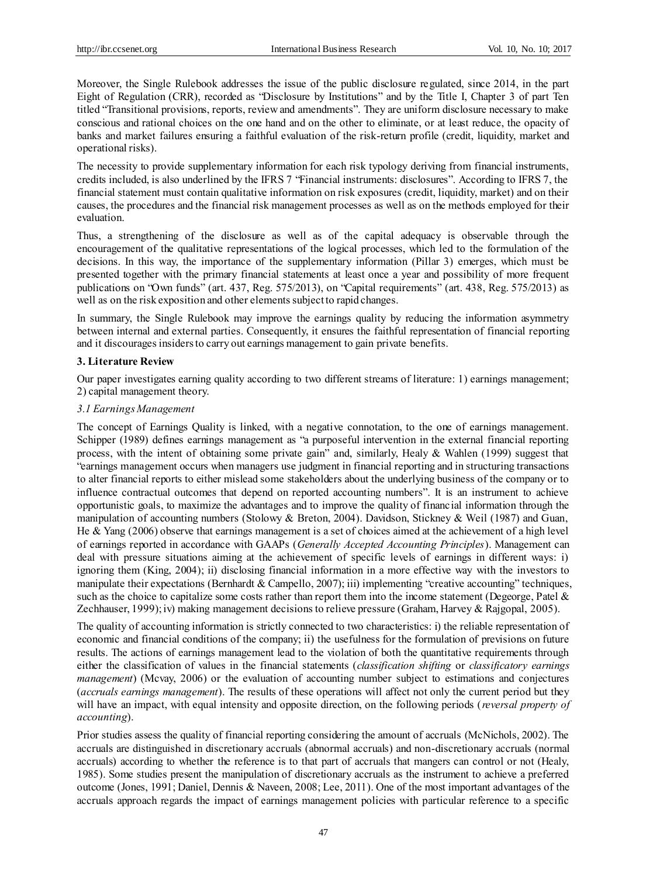Moreover, the Single Rulebook addresses the issue of the public disclosure regulated, since 2014, in the part Eight of Regulation (CRR), recorded as "Disclosure by Institutions" and by the Title I, Chapter 3 of part Ten titled "Transitional provisions, reports, review and amendments". They are uniform disclosure necessary to make conscious and rational choices on the one hand and on the other to eliminate, or at least reduce, the opacity of banks and market failures ensuring a faithful evaluation of the risk-return profile (credit, liquidity, market and operational risks).

The necessity to provide supplementary information for each risk typology deriving from financial instruments, credits included, is also underlined by the IFRS 7 "Financial instruments: disclosures". According to IFRS 7, the financial statement must contain qualitative information on risk exposures (credit, liquidity, market) and on their causes, the procedures and the financial risk management processes as well as on the methods employed for their evaluation.

Thus, a strengthening of the disclosure as well as of the capital adequacy is observable through the encouragement of the qualitative representations of the logical processes, which led to the formulation of the decisions. In this way, the importance of the supplementary information (Pillar 3) emerges, which must be presented together with the primary financial statements at least once a year and possibility of more frequent publications on "Own funds" (art. 437, Reg. 575/2013), on "Capital requirements" (art. 438, Reg. 575/2013) as well as on the risk exposition and other elements subject to rapid changes.

In summary, the Single Rulebook may improve the earnings quality by reducing the information asymmetry between internal and external parties. Consequently, it ensures the faithful representation of financial reporting and it discourages insiders to carry out earnings management to gain private benefits.

# **3. Literature Review**

Our paper investigates earning quality according to two different streams of literature: 1) earnings management; 2) capital management theory.

# *3.1 Earnings Management*

The concept of Earnings Quality is linked, with a negative connotation, to the one of earnings management. Schipper (1989) defines earnings management as "a purposeful intervention in the external financial reporting process, with the intent of obtaining some private gain" and, similarly, Healy & Wahlen (1999) suggest that "earnings management occurs when managers use judgment in financial reporting and in structuring transactions to alter financial reports to either mislead some stakeholders about the underlying business of the company or to influence contractual outcomes that depend on reported accounting numbers". It is an instrument to achieve opportunistic goals, to maximize the advantages and to improve the quality of financial information through the manipulation of accounting numbers (Stolowy & Breton, 2004). Davidson, Stickney & Weil (1987) and Guan, He & Yang (2006) observe that earnings management is a set of choices aimed at the achievement of a high level of earnings reported in accordance with GAAPs (*Generally Accepted Accounting Principles*). Management can deal with pressure situations aiming at the achievement of specific levels of earnings in different ways: i) ignoring them (King, 2004); ii) disclosing financial information in a more effective way with the investors to manipulate their expectations (Bernhardt & Campello, 2007); iii) implementing "creative accounting" techniques, such as the choice to capitalize some costs rather than report them into the income statement (Degeorge, Patel  $\&$ Zechhauser, 1999); iv) making management decisions to relieve pressure (Graham, Harvey & Rajgopal, 2005).

The quality of accounting information is strictly connected to two characteristics: i) the reliable representation of economic and financial conditions of the company; ii) the usefulness for the formulation of previsions on future results. The actions of earnings management lead to the violation of both the quantitative requirements through either the classification of values in the financial statements (*classification shifting* or *classificatory earnings management*) (Mcvay, 2006) or the evaluation of accounting number subject to estimations and conjectures (*accruals earnings management*). The results of these operations will affect not only the current period but they will have an impact, with equal intensity and opposite direction, on the following periods (*reversal property of accounting*).

Prior studies assess the quality of financial reporting considering the amount of accruals (McNichols, 2002). The accruals are distinguished in discretionary accruals (abnormal accruals) and non-discretionary accruals (normal accruals) according to whether the reference is to that part of accruals that mangers can control or not (Healy, 1985). Some studies present the manipulation of discretionary accruals as the instrument to achieve a preferred outcome (Jones, 1991; Daniel, Dennis & Naveen, 2008; Lee, 2011). One of the most important advantages of the accruals approach regards the impact of earnings management policies with particular reference to a specific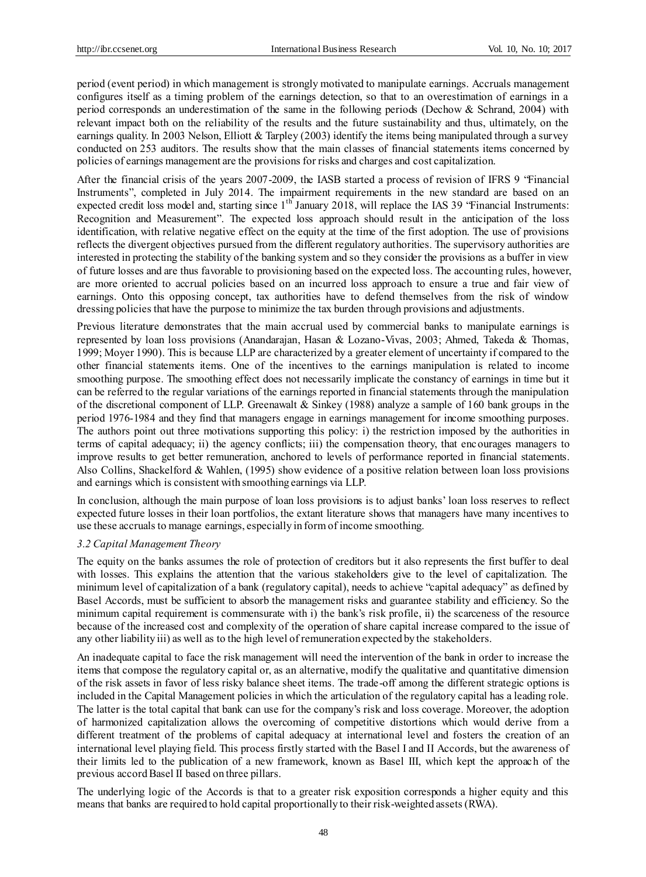period (event period) in which management is strongly motivated to manipulate earnings. Accruals management configures itself as a timing problem of the earnings detection, so that to an overestimation of earnings in a period corresponds an underestimation of the same in the following periods (Dechow & Schrand, 2004) with relevant impact both on the reliability of the results and the future sustainability and thus, ultimately, on the earnings quality. In 2003 Nelson, Elliott & Tarpley (2003) identify the items being manipulated through a survey conducted on 253 auditors. The results show that the main classes of financial statements items concerned by policies of earnings management are the provisions for risks and charges and cost capitalization.

After the financial crisis of the years 2007-2009, the IASB started a process of revision of IFRS 9 "Financial Instruments", completed in July 2014. The impairment requirements in the new standard are based on an expected credit loss model and, starting since  $1<sup>th</sup>$  January 2018, will replace the IAS 39 "Financial Instruments: Recognition and Measurement". The expected loss approach should result in the anticipation of the loss identification, with relative negative effect on the equity at the time of the first adoption. The use of provisions reflects the divergent objectives pursued from the different regulatory authorities. The supervisory authorities are interested in protecting the stability of the banking system and so they consider the provisions as a buffer in view of future losses and are thus favorable to provisioning based on the expected loss. The accounting rules, however, are more oriented to accrual policies based on an incurred loss approach to ensure a true and fair view of earnings. Onto this opposing concept, tax authorities have to defend themselves from the risk of window dressing policies that have the purpose to minimize the tax burden through provisions and adjustments.

Previous literature demonstrates that the main accrual used by commercial banks to manipulate earnings is represented by loan loss provisions (Anandarajan, Hasan & Lozano-Vivas, 2003; Ahmed, Takeda & Thomas, 1999; Moyer 1990). This is because LLP are characterized by a greater element of uncertainty if compared to the other financial statements items. One of the incentives to the earnings manipulation is related to income smoothing purpose. The smoothing effect does not necessarily implicate the constancy of earnings in time but it can be referred to the regular variations of the earnings reported in financial statements through the manipulation of the discretional component of LLP. Greenawalt & Sinkey (1988) analyze a sample of 160 bank groups in the period 1976-1984 and they find that managers engage in earnings management for income smoothing purposes. The authors point out three motivations supporting this policy: i) the restriction imposed by the authorities in terms of capital adequacy; ii) the agency conflicts; iii) the compensation theory, that encourages managers to improve results to get better remuneration, anchored to levels of performance reported in financial statements. Also Collins, Shackelford & Wahlen, (1995) show evidence of a positive relation between loan loss provisions and earnings which is consistent with smoothing earnings via LLP.

In conclusion, although the main purpose of loan loss provisions is to adjust banks' loan loss reserves to reflect expected future losses in their loan portfolios, the extant literature shows that managers have many incentives to use these accruals to manage earnings, especially in form of income smoothing.

### *3.2 Capital Management Theory*

The equity on the banks assumes the role of protection of creditors but it also represents the first buffer to deal with losses. This explains the attention that the various stakeholders give to the level of capitalization. The minimum level of capitalization of a bank (regulatory capital), needs to achieve "capital adequacy" as defined by Basel Accords, must be sufficient to absorb the management risks and guarantee stability and efficiency. So the minimum capital requirement is commensurate with i) the bank's risk profile, ii) the scarceness of the resource because of the increased cost and complexity of the operation of share capital increase compared to the issue of any other liability iii) as well as to the high level of remuneration expected by the stakeholders.

An inadequate capital to face the risk management will need the intervention of the bank in order to increase the items that compose the regulatory capital or, as an alternative, modify the qualitative and quantitative dimension of the risk assets in favor of less risky balance sheet items. The trade-off among the different strategic options is included in the Capital Management policies in which the articulation of the regulatory capital has a leading role. The latter is the total capital that bank can use for the company's risk and loss coverage. Moreover, the adoption of harmonized capitalization allows the overcoming of competitive distortions which would derive from a different treatment of the problems of capital adequacy at international level and fosters the creation of an international level playing field. This process firstly started with the Basel I and II Accords, but the awareness of their limits led to the publication of a new framework, known as Basel III, which kept the approach of the previous accord Basel II based on three pillars.

The underlying logic of the Accords is that to a greater risk exposition corresponds a higher equity and this means that banks are required to hold capital proportionally to their risk-weighted assets (RWA).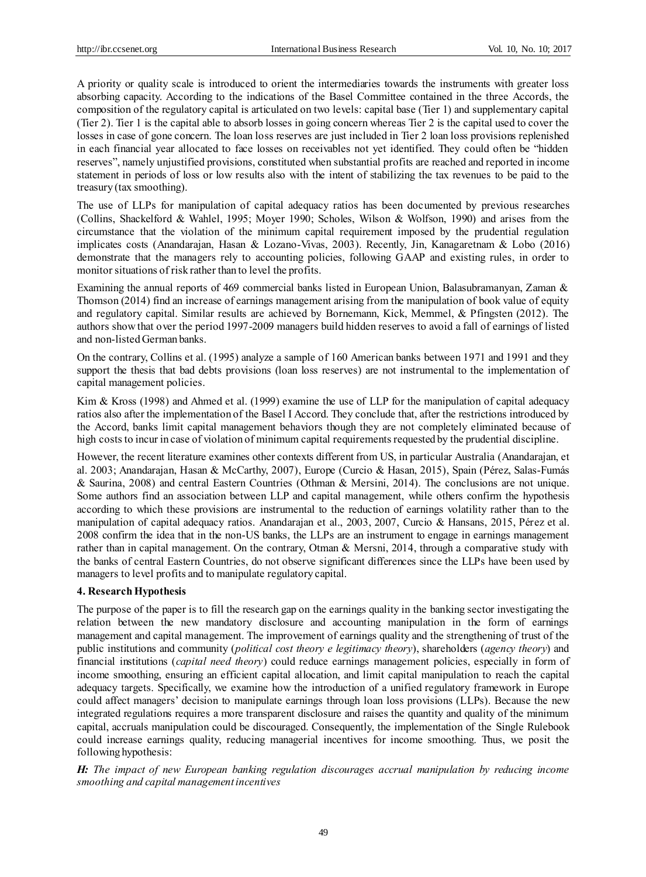A priority or quality scale is introduced to orient the intermediaries towards the instruments with greater loss absorbing capacity. According to the indications of the Basel Committee contained in the three Accords, the composition of the regulatory capital is articulated on two levels: capital base (Tier 1) and supplementary capital (Tier 2). Tier 1 is the capital able to absorb losses in going concern whereas Tier 2 is the capital used to cover the losses in case of gone concern. The loan loss reserves are just included in Tier 2 loan loss provisions replenished in each financial year allocated to face losses on receivables not yet identified. They could often be "hidden reserves", namely unjustified provisions, constituted when substantial profits are reached and reported in income statement in periods of loss or low results also with the intent of stabilizing the tax revenues to be paid to the treasury (tax smoothing).

The use of LLPs for manipulation of capital adequacy ratios has been documented by previous researches (Collins, Shackelford & Wahlel, 1995; Moyer 1990; Scholes, Wilson & Wolfson, 1990) and arises from the circumstance that the violation of the minimum capital requirement imposed by the prudential regulation implicates costs (Anandarajan, Hasan & Lozano-Vivas, 2003). Recently, Jin, Kanagaretnam & Lobo (2016) demonstrate that the managers rely to accounting policies, following GAAP and existing rules, in order to monitor situations of risk rather than to level the profits.

Examining the annual reports of 469 commercial banks listed in European Union, Balasubramanyan, Zaman & Thomson (2014) find an increase of earnings management arising from the manipulation of book value of equity and regulatory capital. Similar results are achieved by Bornemann, Kick, Memmel, & Pfingsten (2012). The authors show that over the period 1997-2009 managers build hidden reserves to avoid a fall of earnings of listed and non-listed German banks.

On the contrary, Collins et al. (1995) analyze a sample of 160 American banks between 1971 and 1991 and they support the thesis that bad debts provisions (loan loss reserves) are not instrumental to the implementation of capital management policies.

Kim & Kross (1998) and Ahmed et al. (1999) examine the use of LLP for the manipulation of capital adequacy ratios also after the implementation of the Basel I Accord. They conclude that, after the restrictions introduced by the Accord, banks limit capital management behaviors though they are not completely eliminated because of high costs to incur in case of violation of minimum capital requirements requested by the prudential discipline.

However, the recent literature examines other contexts different from US, in particular Australia (Anandarajan, et al. 2003; Anandarajan, Hasan & McCarthy, 2007), Europe (Curcio & Hasan, 2015), Spain (Pérez, Salas-Fumás & Saurina, 2008) and central Eastern Countries (Othman & Mersini, 2014). The conclusions are not unique. Some authors find an association between LLP and capital management, while others confirm the hypothesis according to which these provisions are instrumental to the reduction of earnings volatility rather than to the manipulation of capital adequacy ratios. Anandarajan et al., 2003, 2007, Curcio & Hansans, 2015, Pérez et al. 2008 confirm the idea that in the non-US banks, the LLPs are an instrument to engage in earnings management rather than in capital management. On the contrary, Otman & Mersni, 2014, through a comparative study with the banks of central Eastern Countries, do not observe significant differences since the LLPs have been used by managers to level profits and to manipulate regulatory capital.

# **4. Research Hypothesis**

The purpose of the paper is to fill the research gap on the earnings quality in the banking sector investigating the relation between the new mandatory disclosure and accounting manipulation in the form of earnings management and capital management. The improvement of earnings quality and the strengthening of trust of the public institutions and community (*political cost theory e legitimacy theory*), shareholders (*agency theory*) and financial institutions (*capital need theory*) could reduce earnings management policies, especially in form of income smoothing, ensuring an efficient capital allocation, and limit capital manipulation to reach the capital adequacy targets. Specifically, we examine how the introduction of a unified regulatory framework in Europe could affect managers' decision to manipulate earnings through loan loss provisions (LLPs). Because the new integrated regulations requires a more transparent disclosure and raises the quantity and quality of the minimum capital, accruals manipulation could be discouraged. Consequently, the implementation of the Single Rulebook could increase earnings quality, reducing managerial incentives for income smoothing. Thus, we posit the following hypothesis:

*H: The impact of new European banking regulation discourages accrual manipulation by reducing income smoothing and capital management incentives*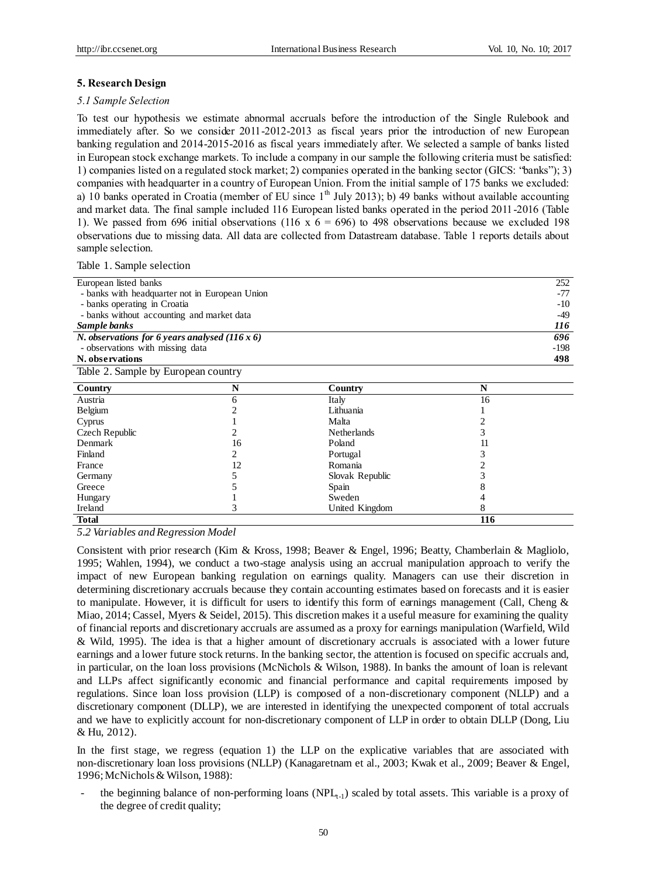#### **5. Research Design**

#### *5.1 Sample Selection*

To test our hypothesis we estimate abnormal accruals before the introduction of the Single Rulebook and immediately after. So we consider 2011-2012-2013 as fiscal years prior the introduction of new European banking regulation and 2014-2015-2016 as fiscal years immediately after. We selected a sample of banks listed in European stock exchange markets. To include a company in our sample the following criteria must be satisfied: 1) companies listed on a regulated stock market; 2) companies operated in the banking sector (GICS: "banks"); 3) companies with headquarter in a country of European Union. From the initial sample of 175 banks we excluded: a) 10 banks operated in Croatia (member of EU since  $1<sup>th</sup>$  July 2013); b) 49 banks without available accounting and market data. The final sample included 116 European listed banks operated in the period 2011-2016 (Table 1). We passed from 696 initial observations (116 x  $6 = 696$ ) to 498 observations because we excluded 198 observations due to missing data. All data are collected from Datastream database. Table 1 reports details about sample selection.

Table 1. Sample selection

|                                                |    |                    |     | 252    |  |  |  |  |
|------------------------------------------------|----|--------------------|-----|--------|--|--|--|--|
| European listed banks                          |    |                    |     |        |  |  |  |  |
| - banks with headquarter not in European Union |    |                    |     |        |  |  |  |  |
| - banks operating in Croatia                   |    |                    |     |        |  |  |  |  |
| - banks without accounting and market data     |    |                    |     |        |  |  |  |  |
| Sample banks                                   |    |                    |     |        |  |  |  |  |
| N. observations for 6 years analysed $(116x6)$ |    |                    |     | 696    |  |  |  |  |
| - observations with missing data               |    |                    |     | $-198$ |  |  |  |  |
| N. observations                                |    |                    |     | 498    |  |  |  |  |
| Table 2. Sample by European country            |    |                    |     |        |  |  |  |  |
| Country                                        | N  | Country            | N   |        |  |  |  |  |
| Austria                                        | 6  | Italy              | 16  |        |  |  |  |  |
| Belgium                                        | 2  | Lithuania          |     |        |  |  |  |  |
| Cyprus                                         |    | Malta              | 2   |        |  |  |  |  |
| Czech Republic                                 | 2  | <b>Netherlands</b> | 3   |        |  |  |  |  |
| Denmark                                        | 16 | Poland             | 11  |        |  |  |  |  |
| Finland                                        | 2  | Portugal           | 3   |        |  |  |  |  |
| France                                         | 12 | Romania            |     |        |  |  |  |  |
| Germany                                        | 5  | Slovak Republic    | 3   |        |  |  |  |  |
| Greece                                         |    | Spain              |     |        |  |  |  |  |
| Hungary                                        |    | Sweden             |     |        |  |  |  |  |
| Ireland                                        | 3  | United Kingdom     | 8   |        |  |  |  |  |
| <b>Total</b>                                   |    |                    | 116 |        |  |  |  |  |

*5.2 Variables and Regression Model*

Consistent with prior research (Kim & Kross, 1998; Beaver & Engel, 1996; Beatty, Chamberlain & Magliolo, 1995; Wahlen, 1994), we conduct a two-stage analysis using an accrual manipulation approach to verify the impact of new European banking regulation on earnings quality. Managers can use their discretion in determining discretionary accruals because they contain accounting estimates based on forecasts and it is easier to manipulate. However, it is difficult for users to identify this form of earnings management (Call, Cheng & Miao, 2014; Cassel, Myers & Seidel, 2015). This discretion makes it a useful measure for examining the quality of financial reports and discretionary accruals are assumed as a proxy for earnings manipulation (Warfield, Wild & Wild, 1995). The idea is that a higher amount of discretionary accruals is associated with a lower future earnings and a lower future stock returns. In the banking sector, the attention is focused on specific accruals and, in particular, on the loan loss provisions (McNichols & Wilson, 1988). In banks the amount of loan is relevant and LLPs affect significantly economic and financial performance and capital requirements imposed by regulations. Since loan loss provision (LLP) is composed of a non-discretionary component (NLLP) and a discretionary component (DLLP), we are interested in identifying the unexpected component of total accruals and we have to explicitly account for non-discretionary component of LLP in order to obtain DLLP (Dong, Liu & Hu, 2012).

In the first stage, we regress (equation 1) the LLP on the explicative variables that are associated with non-discretionary loan loss provisions (NLLP) (Kanagaretnam et al., 2003; Kwak et al., 2009; Beaver & Engel, 1996; McNichols & Wilson, 1988):

the beginning balance of non-performing loans (NPL<sub>t-1</sub>) scaled by total assets. This variable is a proxy of the degree of credit quality;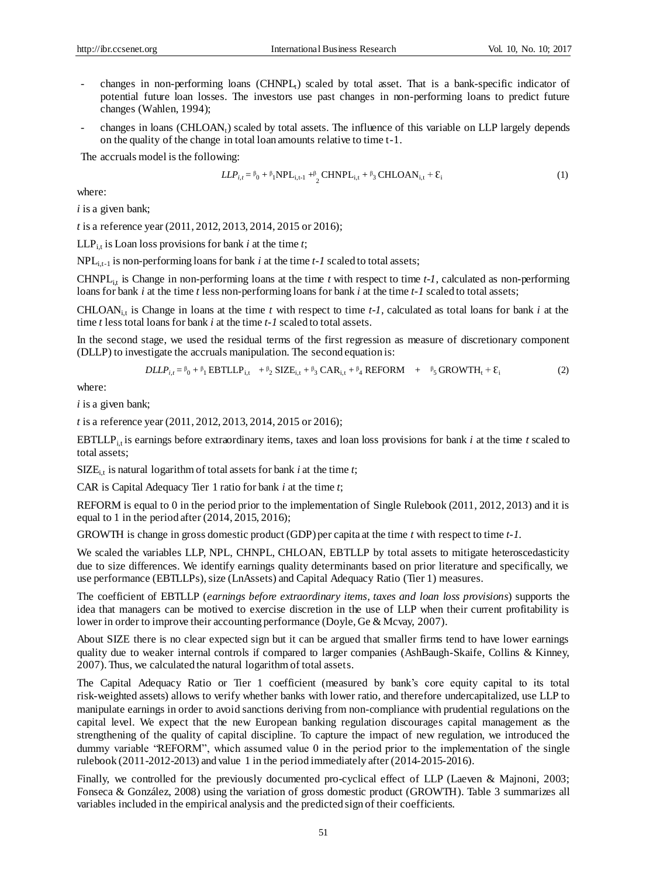- changes in non-performing loans (CHNPL<sub>t</sub>) scaled by total asset. That is a bank-specific indicator of potential future loan losses. The investors use past changes in non-performing loans to predict future changes (Wahlen, 1994);
- changes in loans (CHLOAN<sub>t</sub>) scaled by total assets. The influence of this variable on LLP largely depends on the quality of the change in total loan amounts relative to time t-1.

The accruals model is the following:

$$
LLP_{i,t} = \beta_0 + \beta_1 NP_{i,t-1} + \beta_2 CHNP_{i,t} + \beta_3 CHLOAN_{i,t} + \varepsilon_i
$$
 (1)

where:

*i* is a given bank;

*t* is a reference year (2011, 2012, 2013, 2014, 2015 or 2016);

LLP<sub>it</sub> is Loan loss provisions for bank *i* at the time *t*;

NPL<sub>i,t-1</sub> is non-performing loans for bank *i* at the time *t-1* scaled to total assets;

CHNPL<sub>it</sub> is Change in non-performing loans at the time  $t$  with respect to time  $t$ -1, calculated as non-performing loans for bank *i* at the time *t* less non-performing loans for bank *i* at the time *t-1* scaled to total assets;

CHLOAN<sub>i,t</sub> is Change in loans at the time  $t$  with respect to time  $t$ -1, calculated as total loans for bank  $i$  at the time *t* less total loans for bank *i* at the time *t-1* scaled to total assets.

In the second stage, we used the residual terms of the first regression as measure of discretionary component (DLLP) to investigate the accruals manipulation. The second equation is:

$$
DLLP_{i,t} = \beta_0 + \beta_1 EBTLLP_{i,t} + \beta_2 SIZE_{i,t} + \beta_3 CAR_{i,t} + \beta_4 REFORM + \beta_5 GROWTH_t + \mathcal{E}_i
$$
 (2)

where:

*i* is a given bank;

*t* is a reference year (2011, 2012, 2013, 2014, 2015 or 2016);

EBTLLP<sub>it</sub> is earnings before extraordinary items, taxes and loan loss provisions for bank  $i$  at the time  $t$  scaled to total assets;

 $SIZE_{i,t}$  is natural logarithm of total assets for bank *i* at the time *t*;

CAR is Capital Adequacy Tier 1 ratio for bank *i* at the time *t*;

REFORM is equal to 0 in the period prior to the implementation of Single Rulebook (2011, 2012, 2013) and it is equal to 1 in the period after (2014, 2015, 2016);

GROWTH is change in gross domestic product (GDP) per capita at the time *t* with respect to time *t-1*.

We scaled the variables LLP, NPL, CHNPL, CHLOAN, EBTLLP by total assets to mitigate heteroscedasticity due to size differences. We identify earnings quality determinants based on prior literature and specifically, we use performance (EBTLLPs), size (LnAssets) and Capital Adequacy Ratio (Tier 1) measures.

The coefficient of EBTLLP (*earnings before extraordinary items, taxes and loan loss provisions*) supports the idea that managers can be motived to exercise discretion in the use of LLP when their current profitability is lower in order to improve their accounting performance (Doyle, Ge & Mcvay, 2007).

About SIZE there is no clear expected sign but it can be argued that smaller firms tend to have lower earnings quality due to weaker internal controls if compared to larger companies (AshBaugh-Skaife, Collins & Kinney, 2007). Thus, we calculated the natural logarithm of total assets.

The Capital Adequacy Ratio or Tier 1 coefficient (measured by bank's core equity capital to its total risk-weighted assets) allows to verify whether banks with lower ratio, and therefore undercapitalized, use LLP to manipulate earnings in order to avoid sanctions deriving from non-compliance with prudential regulations on the capital level. We expect that the new European banking regulation discourages capital management as the strengthening of the quality of capital discipline. To capture the impact of new regulation, we introduced the dummy variable "REFORM", which assumed value 0 in the period prior to the implementation of the single rulebook (2011-2012-2013) and value 1 in the period immediately after (2014-2015-2016).

Finally, we controlled for the previously documented pro-cyclical effect of LLP (Laeven & Majnoni, 2003; Fonseca & Gonz aez, 2008) using the variation of gross domestic product (GROWTH). Table 3 summarizes all variables included in the empirical analysis and the predicted sign of their coefficients.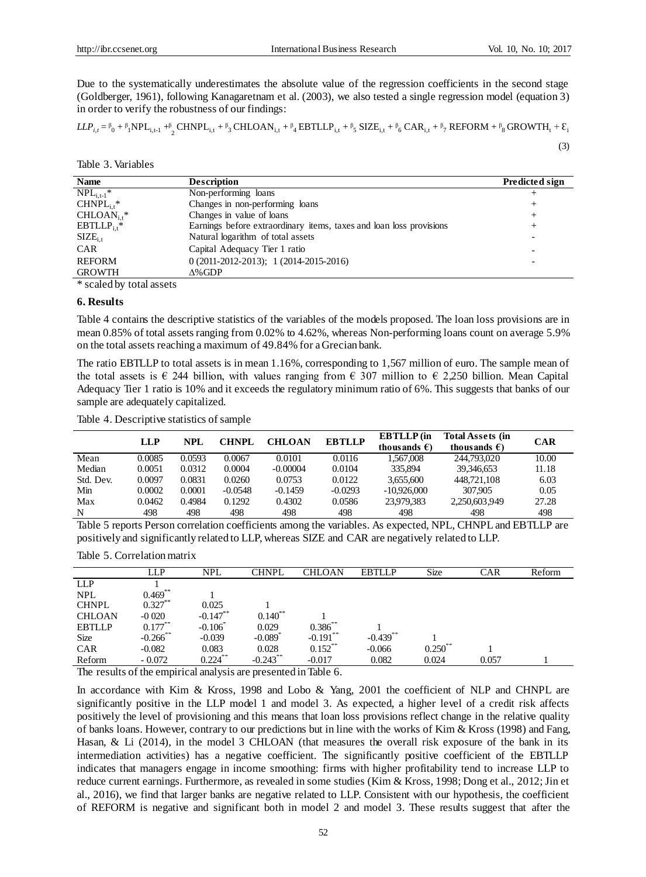Due to the systematically underestimates the absolute value of the regression coefficients in the second stage (Goldberger, 1961), following Kanagaretnam et al. (2003), we also tested a single regression model (equation 3) in order to verify the robustness of our findings:

 $LLP_{i,t} = \beta_0 + \beta_1 \text{NPL}_{i,t-1} + \beta_2 \text{CHNPL}_{i,t} + \beta_3 \text{CHLOAN}_{i,t} + \beta_4 \text{EBTLLP}_{i,t} + \beta_5 \text{SIZE}_{i,t} + \beta_6 \text{CAR}_{i,t} + \beta_7 \text{REFORM} + \beta_8 \text{GROWTH}_t + \epsilon_7$ 

(3)

Table 3. Variables

| <b>Name</b>              | <b>Description</b>                                                  | Predicted sign |
|--------------------------|---------------------------------------------------------------------|----------------|
| $NPL_{i,t-1}^*$          | Non-performing loans                                                |                |
| $CHNPL_{i}$ <sup>*</sup> | Changes in non-performing loans                                     | +              |
| $CHLOAN_{i}$ *           | Changes in value of loans                                           | +              |
| $EBTLLP_{i,t}^*$         | Earnings before extraordinary items, taxes and loan loss provisions | +              |
| $\text{SIZE}_{i,t}$      | Natural logarithm of total assets                                   |                |
| <b>CAR</b>               | Capital Adequacy Tier 1 ratio                                       |                |
| <b>REFORM</b>            | $0(2011-2012-2013); 1(2014-2015-2016)$                              |                |
| <b>GROWTH</b>            | $\Delta\%$ GDP                                                      |                |
|                          |                                                                     |                |

\* scaled by total assets

#### **6. Results**

Table 4 contains the descriptive statistics of the variables of the models proposed. The loan loss provisions are in mean 0.85% of total assets ranging from 0.02% to 4.62%, whereas Non-performing loans count on average 5.9% on the total assets reaching a maximum of 49.84% for a Grecian bank.

The ratio EBTLLP to total assets is in mean 1.16%, corresponding to 1,567 million of euro. The sample mean of the total assets is  $\epsilon$  244 billion, with values ranging from  $\epsilon$  307 million to  $\epsilon$  2,250 billion. Mean Capital Adequacy Tier 1 ratio is 10% and it exceeds the regulatory minimum ratio of 6%. This suggests that banks of our sample are adequately capitalized.

Table 4. Descriptive statistics of sample

|           | <b>LLP</b> | <b>NPL</b> | <b>CHNPL</b> | <b>CHLOAN</b> | <b>EBTLLP</b> | <b>EBTLLP</b> (in<br>thousands $\epsilon$ ) | <b>Total Assets (in</b><br>thousands $\epsilon$ ) | <b>CAR</b> |
|-----------|------------|------------|--------------|---------------|---------------|---------------------------------------------|---------------------------------------------------|------------|
| Mean      | 0.0085     | 0.0593     | 0.0067       | 0.0101        | 0.0116        | 1.567.008                                   | 244,793,020                                       | 10.00      |
| Median    | 0.0051     | 0.0312     | 0.0004       | $-0.00004$    | 0.0104        | 335,894                                     | 39,346,653                                        | 11.18      |
| Std. Dev. | 0.0097     | 0.0831     | 0.0260       | 0.0753        | 0.0122        | 3.655.600                                   | 448.721.108                                       | 6.03       |
| Min       | 0.0002     | 0.0001     | $-0.0548$    | $-0.1459$     | $-0.0293$     | $-10.926,000$                               | 307,905                                           | 0.05       |
| Max       | 0.0462     | 0.4984     | 0.1292       | 0.4302        | 0.0586        | 23.979.383                                  | 2,250,603,949                                     | 27.28      |
| N         | 498        | 498        | 498          | 498           | 498           | 498                                         | 498                                               | 498        |

Table 5 reports Person correlation coefficients among the variables. As expected, NPL, CHNPL and EBTLLP are positively and significantly related to LLP, whereas SIZE and CAR are negatively related to LLP.

Table 5. Correlation matrix

|               | LLP         | <b>NPL</b>  | CHNPL                 | CHLOAN       | <b>EBTLLP</b> | <b>Size</b>       | CAR   | Reform |
|---------------|-------------|-------------|-----------------------|--------------|---------------|-------------------|-------|--------|
| <b>LLP</b>    |             |             |                       |              |               |                   |       |        |
| <b>NPL</b>    | $0.469***$  |             |                       |              |               |                   |       |        |
| <b>CHNPL</b>  | $0.327***$  | 0.025       |                       |              |               |                   |       |        |
| <b>CHLOAN</b> | $-0.020$    | $-0.147$ ** | $0.140^{**}$          |              |               |                   |       |        |
| <b>EBTLLP</b> | $0.177***$  | $-0.106$    | 0.029                 | $0.386^{**}$ |               |                   |       |        |
| <b>Size</b>   | $-0.266$ ** | $-0.039$    | $-0.089$ <sup>*</sup> | $-0.191$ **  | $-0.439$ **   |                   |       |        |
| <b>CAR</b>    | $-0.082$    | 0.083       | 0.028                 | $0.152$ **   | $-0.066$      | $0.250^{\degree}$ |       |        |
| Reform        | $-0.072$    | $0.224$ **  | $-0.243$ **           | $-0.017$     | 0.082         | 0.024             | 0.057 |        |
|               |             |             |                       |              |               |                   |       |        |

The results of the empirical analysis are presented in Table 6.

In accordance with Kim & Kross, 1998 and Lobo & Yang, 2001 the coefficient of NLP and CHNPL are significantly positive in the LLP model 1 and model 3. As expected, a higher level of a credit risk affects positively the level of provisioning and this means that loan loss provisions reflect change in the relative quality of banks loans. However, contrary to our predictions but in line with the works of Kim & Kross (1998) and Fang, Hasan, & Li (2014), in the model 3 CHLOAN (that measures the overall risk exposure of the bank in its intermediation activities) has a negative coefficient. The significantly positive coefficient of the EBTLLP indicates that managers engage in income smoothing: firms with higher profitability tend to increase LLP to reduce current earnings. Furthermore, as revealed in some studies (Kim & Kross, 1998; Dong et al., 2012; Jin et al., 2016), we find that larger banks are negative related to LLP. Consistent with our hypothesis, the coefficient of REFORM is negative and significant both in model 2 and model 3. These results suggest that after the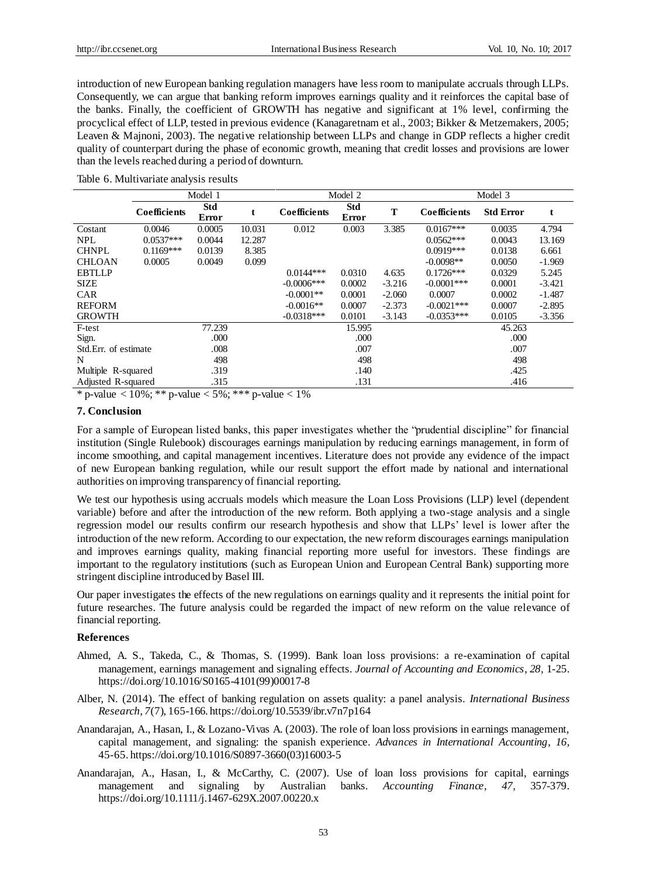introduction of new European banking regulation managers have less room to manipulate accruals through LLPs. Consequently, we can argue that banking reform improves earnings quality and it reinforces the capital base of the banks. Finally, the coefficient of GROWTH has negative and significant at 1% level, confirming the procyclical effect of LLP, tested in previous evidence (Kanagaretnam et al., 2003; Bikker & Metzemakers, 2005; Leaven & Majnoni, 2003). The negative relationship between LLPs and change in GDP reflects a higher credit quality of counterpart during the phase of economic growth, meaning that credit losses and provisions are lower than the levels reached during a period of downturn.

|  |  |  |  |  |  |  | Table 6. Multivariate analysis results |
|--|--|--|--|--|--|--|----------------------------------------|
|--|--|--|--|--|--|--|----------------------------------------|

|                              | Model 1      |                     |        |               | Model 2                    |          | Model 3             |                  |          |  |
|------------------------------|--------------|---------------------|--------|---------------|----------------------------|----------|---------------------|------------------|----------|--|
|                              | Coefficients | <b>Std</b><br>Error |        | Coefficients  | <b>Std</b><br><b>Error</b> | T        | <b>Coefficients</b> | <b>Std Error</b> | t        |  |
| Costant                      | 0.0046       | 0.0005              | 10.031 | 0.012         | 0.003                      | 3.385    | $0.0167***$         | 0.0035           | 4.794    |  |
| <b>NPL</b>                   | $0.0537***$  | 0.0044              | 12.287 |               |                            |          | $0.0562***$         | 0.0043           | 13.169   |  |
| <b>CHNPL</b>                 | $0.1169***$  | 0.0139              | 8.385  |               |                            |          | $0.0919***$         | 0.0138           | 6.661    |  |
| <b>CHLOAN</b>                | 0.0005       | 0.0049              | 0.099  |               |                            |          | $-0.0098**$         | 0.0050           | $-1.969$ |  |
| <b>EBTLLP</b>                |              |                     |        | $0.0144***$   | 0.0310                     | 4.635    | $0.1726***$         | 0.0329           | 5.245    |  |
| <b>SIZE</b>                  |              |                     |        | $-0.0006$ *** | 0.0002                     | $-3.216$ | $-0.0001$ ***       | 0.0001           | $-3.421$ |  |
| <b>CAR</b>                   |              |                     |        | $-0.0001**$   | 0.0001                     | $-2.060$ | 0.0007              | 0.0002           | $-1.487$ |  |
| <b>REFORM</b>                |              |                     |        | $-0.0016**$   | 0.0007                     | $-2.373$ | $-0.0021$ ***       | 0.0007           | $-2.895$ |  |
| <b>GROWTH</b>                |              |                     |        | $-0.0318***$  | 0.0101                     | $-3.143$ | $-0.0353***$        | 0.0105           | $-3.356$ |  |
| F-test                       |              | 77.239              |        | 15.995        |                            |          | 45.263              |                  |          |  |
| Sign.                        |              | .000                |        |               | .000                       |          |                     | .000             |          |  |
| Std.Err. of estimate<br>.008 |              | .007                |        |               | .007                       |          |                     |                  |          |  |
| N                            |              | 498                 |        | 498           |                            |          | 498                 |                  |          |  |
| Multiple R-squared           |              | .319                |        | .140          |                            |          | .425                |                  |          |  |
| Adjusted R-squared           |              | .315                |        | .131          |                            |          | .416                |                  |          |  |

\* p-value < 10%; \*\* p-value < 5%; \*\*\* p-value < 1%

#### **7. Conclusion**

For a sample of European listed banks, this paper investigates whether the "prudential discipline" for financial institution (Single Rulebook) discourages earnings manipulation by reducing earnings management, in form of income smoothing, and capital management incentives. Literature does not provide any evidence of the impact of new European banking regulation, while our result support the effort made by national and international authorities on improving transparency of financial reporting.

We test our hypothesis using accruals models which measure the Loan Loss Provisions (LLP) level (dependent variable) before and after the introduction of the new reform. Both applying a two-stage analysis and a single regression model our results confirm our research hypothesis and show that LLPs' level is lower after the introduction of the new reform. According to our expectation, the new reform discourages earnings manipulation and improves earnings quality, making financial reporting more useful for investors. These findings are important to the regulatory institutions (such as European Union and European Central Bank) supporting more stringent discipline introduced by Basel III.

Our paper investigates the effects of the new regulations on earnings quality and it represents the initial point for future researches. The future analysis could be regarded the impact of new reform on the value relevance of financial reporting.

# **References**

- Ahmed, A. S., Takeda, C., & Thomas, S. (1999). Bank loan loss provisions: a re-examination of capital management, earnings management and signaling effects. *[Journal of Accounting and Economics](http://econpapers.repec.org/article/eeejaecon/)*, *28,* 1-25. [https://doi.org/10.1016/S0165-4101\(99\)00017-8](https://doi.org/10.1016/S0165-4101(99)00017-8)
- Alber, N. (2014). The effect of banking regulation on assets quality: a panel analysis. *International Business Research*, *7*(7), 165-166. https://doi.org/10.5539/ibr.v7n7p164
- Anandarajan, A., Hasan, I., & Lozano-Vivas A. (2003). The role of loan loss provisions in earnings management, capital management, and signaling: the spanish experience. *Advances in International Accounting*, *16,* 45-65[. https://doi.org/10.1016/S0897-3660\(03\)16003-5](https://doi.org/10.1016/S0897-3660(03)16003-5)
- Anandarajan, A., Hasan, I., & McCarthy, C. (2007). Use of loan loss provisions for capital, earnings management and signaling by Australian banks. *Accounting Finance*, *47,* 357-379. https://doi.org/10.1111/j.1467-629X.2007.00220.x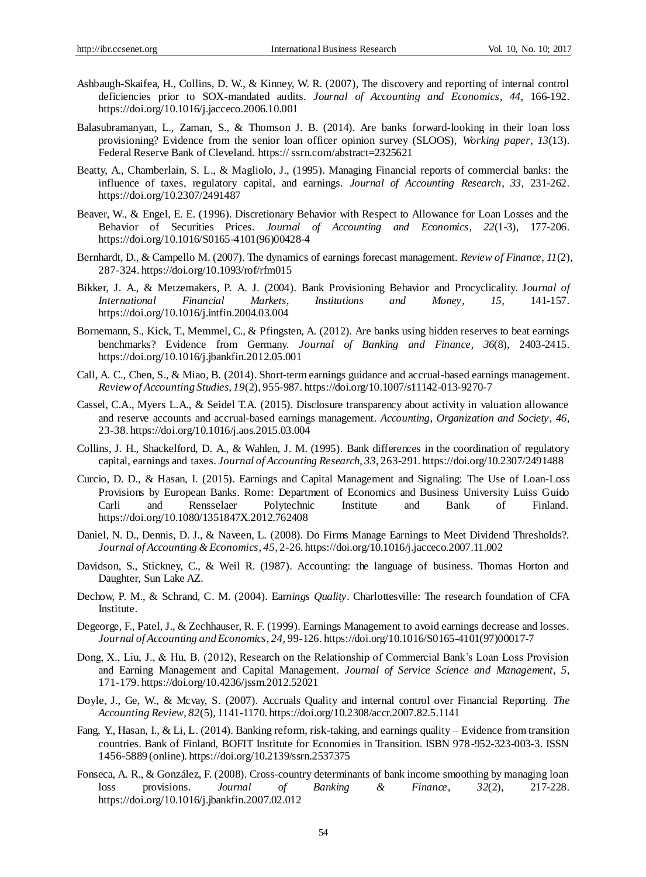- Ashbaugh-Skaifea, H., Collins, D. W., & Kinney, W. R. (2007), The discovery and reporting of internal control deficiencies prior to SOX-mandated audits. *Journal of Accounting and Economics*, *44,* 166-192. <https://doi.org/10.1016/j.jacceco.2006.10.001>
- Balasubramanyan, L., Zaman, S., & Thomson J. B. (2014). Are banks forward-looking in their loan loss provisioning? Evidence from the senior loan officer opinion survey (SLOOS), *Working paper*, *13*(13). Federal Reserve Bank of Cleveland. https:// ssrn.com/abstract=2325621
- Beatty, A., Chamberlain, S. L., & Magliolo, J., (1995). Managing Financial reports of commercial banks: the influence of taxes, regulatory capital, and earnings. *Journal of Accounting Research*, *33,* 231-262. https://doi.org/10.2307/2491487
- Beaver, W., & Engel, E. E. (1996). Discretionary Behavior with Respect to Allowance for Loan Losses and the Behavior of Securities Prices. *Journal of Accounting and Economics*, *22*(1-3), 177-206. https://doi.org/10.1016/S0165-4101(96)00428-4
- Bernhardt, D., & Campello M. (2007). The dynamics of earnings forecast management. *Review of Finance*, *11*(2), 287-324[. https://doi.org/10.1093/rof/rfm015](https://doi.org/10.1093/rof/rfm015)
- Bikker, J. A., & Metzemakers, P. A. J. (2004). Bank Provisioning Behavior and Procyclicality. J*ournal of International Financial Markets, Institutions and Money*, *15,* 141-157. https://doi.org/10.1016/j.intfin.2004.03.004
- Bornemann, S., Kick, T., Memmel, C., & Pfingsten, A. (2012). Are banks using hidden reserves to beat earnings benchmarks? Evidence from Germany. *Journal of Banking and Finance*, *36*(8), 2403-2415. <https://doi.org/10.1016/j.jbankfin.2012.05.001>
- Call, A. C., Chen, S., & Miao, B. (2014). Short-term earnings guidance and accrual-based earnings management. *Review of Accounting Studies*, *19*(2), 955-987. https://doi.org/10.1007/s11142-013-9270-7
- Cassel, C.A., Myers L.A., & Seidel T.A. (2015). Disclosure transparency about activity in valuation allowance and reserve accounts and accrual-based earnings management. *Accounting, Organization and Society*, *46,* 23-38[. https://doi.org/10.1016/j.aos.2015.03.004](https://doi.org/10.1016/j.aos.2015.03.004)
- Collins, J. H., Shackelford, D. A., & Wahlen, J. M. (1995). Bank differences in the coordination of regulatory capital, earnings and taxes. *Journal of Accounting Research*, *33,* 263-291. https://doi.org/10.2307/2491488
- Curcio, D. D., & Hasan, I. (2015). Earnings and Capital Management and Signaling: The Use of Loan-Loss Provisions by European Banks. Rome: Department of Economics and Business University Luiss Guido Carli and Rensselaer Polytechnic Institute and Bank of Finland. https://doi.org/10.1080/1351847X.2012.762408
- Daniel, N. D., Dennis, D. J., & Naveen, L. (2008). Do Firms Manage Earnings to Meet Dividend Thresholds?. *Journal of Accounting & Economics*, *45,* 2-26[. https://doi.org/10.1016/j.jacceco.2007.11.002](https://doi.org/10.1016/j.jacceco.2007.11.002)
- Davidson, S., Stickney, C., & Weil R. (1987). Accounting: the language of business. Thomas Horton and Daughter, Sun Lake AZ.
- Dechow, P. M., & Schrand, C. M. (2004). Ear*nings Quality*. Charlottesville: The research foundation of CFA Institute.
- Degeorge, F., Patel, J., & Zechhauser, R. F. (1999). Earnings Management to avoid earnings decrease and losses. *Journal of Accounting and Economics*, *24,* 99-126[. https://doi.org/10.1016/S0165-4101\(97\)00017-7](https://doi.org/10.1016/S0165-4101(97)00017-7)
- Dong, X., Liu, J., & Hu, B. (2012), Research on the Relationship of Commercial Bank's Loan Loss Provision and Earning Management and Capital Management. *Journal of Service Science and Management*, *5,*  171-179. https://doi.org/10.4236/jssm.2012.52021
- Doyle, J., Ge, W., & Mcvay, S. (2007). Accruals Quality and internal control over Financial Reporting. *The Accounting Review*, *82*(5), 1141-1170[. https://doi.org/10.2308/accr.2007.82.5.1141](https://doi.org/10.2308/accr.2007.82.5.1141)
- Fang, Y., Hasan, I., & Li, L. (2014). Banking reform, risk-taking, and earnings quality Evidence from transition countries. Bank of Finland, BOFIT Institute for Economies in Transition. ISBN 978-952-323-003-3. ISSN 1456-5889 (online). https://doi.org/10.2139/ssrn.2537375
- Fonseca, A. R., & González, F. (2008). Cross-country determinants of bank income smoothing by managing loan loss provisions. *[Journal of Banking & Finance](http://econpapers.repec.org/article/eeejbfina/)*, *32*(2), 217-228. <https://doi.org/10.1016/j.jbankfin.2007.02.012>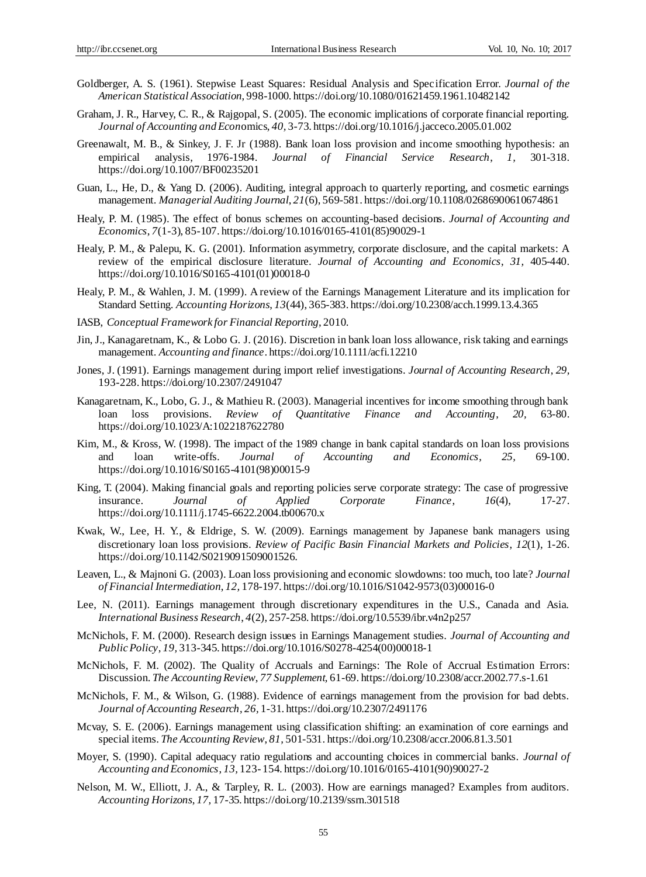- Goldberger, A. S. (1961). Stepwise Least Squares: Residual Analysis and Specification Error. *Journal of the American Statistical Association*, 998-1000. https://doi.org/10.1080/01621459.1961.10482142
- Graham, J. R., Harvey, C. R., & Rajgopal, S. (2005). The economic implications of corporate financial reporting. *Journal of Accounting and Econ*omics, *40,* 3-73[. https://doi.org/10.1016/j.jacceco.2005.01.002](https://doi.org/10.1016/j.jacceco.2005.01.002)
- Greenawalt, M. B., & Sinkey, J. F. Jr (1988). Bank loan loss provision and income smoothing hypothesis: an empirical analysis, 1976-1984. *Journal of Financial Service Research*, *1,* 301-318. https://doi.org/10.1007/BF00235201
- Guan, L., He, D., & Yang D. (2006). Auditing, integral approach to quarterly reporting, and cosmetic earnings management. *Managerial Auditing Journal*, *21*(6), 569-581[. https://doi.org/10.1108/02686900610674861](https://doi.org/10.1108/02686900610674861)
- Healy, P. M. (1985). The effect of bonus schemes on accounting-based decisions. *Journal of Accounting and Economics*, *7*(1-3), 85-107. https://doi.org/10.1016/0165-4101(85)90029-1
- Healy, P. M., & Palepu, K. G. (2001). Information asymmetry, corporate disclosure, and the capital markets: A review of the empirical disclosure literature. *Journal of Accounting and Economics*, *31,* 405-440. [https://doi.org/10.1016/S0165-4101\(01\)00018-0](https://doi.org/10.1016/S0165-4101(01)00018-0)
- Healy, P. M., & Wahlen, J. M. (1999). A review of the Earnings Management Literature and its implication for Standard Setting. *Accounting Horizons*, *13*(44), 365-383[. https://doi.org/10.2308/acch.1999.13.4.365](https://doi.org/10.2308/acch.1999.13.4.365)
- IASB, *Conceptual Framework for Financial Reporting*, 2010.
- Jin, J., Kanagaretnam, K., & Lobo G. J. (2016). Discretion in bank loan loss allowance, risk taking and earnings management. *Accounting and finance*. https://doi.org/10.1111/acfi.12210
- Jones, J. (1991). Earnings management during import relief investigations. *Journal of Accounting Research*, *29,*  193-228. https://doi.org/10.2307/2491047
- Kanagaretnam, K., Lobo, G. J., & Mathieu R. (2003). Managerial incentives for income smoothing through bank loan loss provisions. *Review of Quantitative Finance and Accounting*, *20,* 63-80. https://doi.org/10.1023/A:1022187622780
- Kim, M., & Kross, W. (1998). The impact of the 1989 change in bank capital standards on loan loss provisions and loan write-offs. *[Journal of Accounting and Economics](http://econpapers.repec.org/article/eeejaecon/)*, *25,* 69-100. https://doi.org/10.1016/S0165-4101(98)00015-9
- King, T. (2004). Making financial goals and reporting policies serve corporate strategy: The case of progressive insurance. *Journal of Applied Corporate Finance*, *16*(4), 17-27. https://doi.org/10.1111/j.1745-6622.2004.tb00670.x
- Kwak, W., Lee, H. Y., & Eldrige, S. W. (2009). Earnings management by Japanese bank managers using discretionary loan loss provisions. *Review of Pacific Basin Financial Markets and Policies*, *12*(1), 1-26. https://doi.org/10.1142/S0219091509001526.
- Leaven, L., & Majnoni G. (2003). Loan loss provisioning and economic slowdowns: too much, too late? *Journal of Financial Intermediation*, *12,* 178-197[. https://doi.org/10.1016/S1042-9573\(03\)00016-0](https://doi.org/10.1016/S1042-9573(03)00016-0)
- Lee, N. (2011). Earnings management through discretionary expenditures in the U.S., Canada and Asia. *International Business Research*, *4*(2), 257-258. https://doi.org/10.5539/ibr.v4n2p257
- McNichols, F. M. (2000). Research design issues in Earnings Management studies. *Journal of Accounting and Public Policy*, *19,* 313-345[. https://doi.org/10.1016/S0278-4254\(00\)00018-1](https://doi.org/10.1016/S0278-4254(00)00018-1)
- McNichols, F. M. (2002). The Quality of Accruals and Earnings: The Role of Accrual Estimation Errors: Discussion. *The Accounting Review*, *77 Supplement,* 61-69. https://doi.org/10.2308/accr.2002.77.s-1.61
- McNichols, F. M., & Wilson, G. (1988). Evidence of earnings management from the provision for bad debts. *Journal of Accounting Research*, *26,* 1-31. https://doi.org/10.2307/2491176
- Mcvay, S. E. (2006). Earnings management using classification shifting: an examination of core earnings and special items. *The Accounting Review*, *81,* 501-531[. https://doi.org/10.2308/accr.2006.81.3.501](https://doi.org/10.2308/accr.2006.81.3.501)
- Moyer, S. (1990). Capital adequacy ratio regulations and accounting choices in commercial banks. *Journal of Accounting and Economics*, *13,* 123- 154[. https://doi.org/10.1016/0165-4101\(90\)90027-2](https://doi.org/10.1016/0165-4101(90)90027-2)
- Nelson, M. W., Elliott, J. A., & Tarpley, R. L. (2003). How are earnings managed? Examples from auditors. *Accounting Horizons*, *17,* 17-35. https://doi.org/10.2139/ssrn.301518